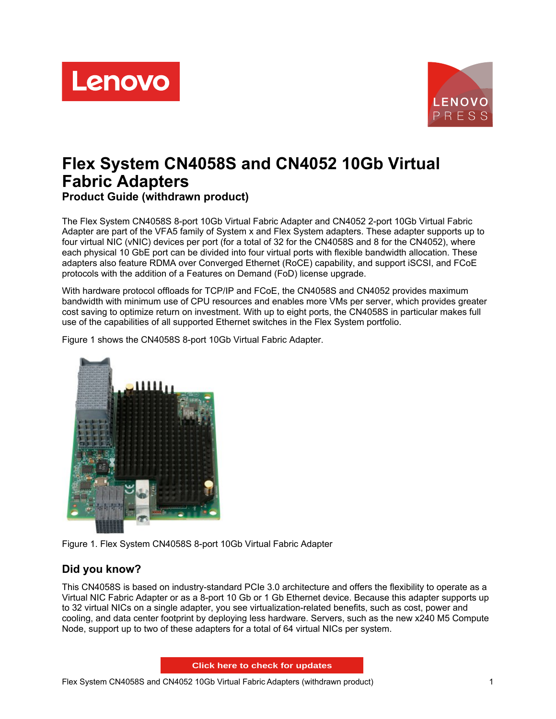



# **Flex System CN4058S and CN4052 10Gb Virtual Fabric Adapters Product Guide (withdrawn product)**

The Flex System CN4058S 8-port 10Gb Virtual Fabric Adapter and CN4052 2-port 10Gb Virtual Fabric Adapter are part of the VFA5 family of System x and Flex System adapters. These adapter supports up to four virtual NIC (vNIC) devices per port (for a total of 32 for the CN4058S and 8 for the CN4052), where each physical 10 GbE port can be divided into four virtual ports with flexible bandwidth allocation. These adapters also feature RDMA over Converged Ethernet (RoCE) capability, and support iSCSI, and FCoE protocols with the addition of a Features on Demand (FoD) license upgrade.

With hardware protocol offloads for TCP/IP and FCoE, the CN4058S and CN4052 provides maximum bandwidth with minimum use of CPU resources and enables more VMs per server, which provides greater cost saving to optimize return on investment. With up to eight ports, the CN4058S in particular makes full use of the capabilities of all supported Ethernet switches in the Flex System portfolio.

Figure 1 shows the CN4058S 8-port 10Gb Virtual Fabric Adapter.



Figure 1. Flex System CN4058S 8-port 10Gb Virtual Fabric Adapter

## **Did you know?**

This CN4058S is based on industry-standard PCIe 3.0 architecture and offers the flexibility to operate as a Virtual NIC Fabric Adapter or as a 8-port 10 Gb or 1 Gb Ethernet device. Because this adapter supports up to 32 virtual NICs on a single adapter, you see virtualization-related benefits, such as cost, power and cooling, and data center footprint by deploying less hardware. Servers, such as the new x240 M5 Compute Node, support up to two of these adapters for a total of 64 virtual NICs per system.

**Click here to check for updates**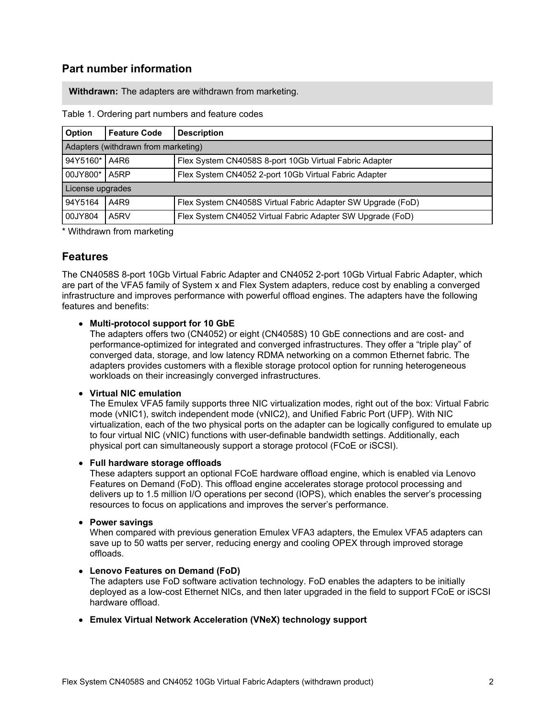## **Part number information**

**Withdrawn:** The adapters are withdrawn from marketing.

| <b>Option</b>                       | <b>Feature Code</b> | <b>Description</b>                                          |  |  |  |  |
|-------------------------------------|---------------------|-------------------------------------------------------------|--|--|--|--|
| Adapters (withdrawn from marketing) |                     |                                                             |  |  |  |  |
| 94Y5160*                            | A4R6                | Flex System CN4058S 8-port 10Gb Virtual Fabric Adapter      |  |  |  |  |
| 00JY800*                            | A <sub>5</sub> RP   | Flex System CN4052 2-port 10Gb Virtual Fabric Adapter       |  |  |  |  |
| License upgrades                    |                     |                                                             |  |  |  |  |
| 94Y5164                             | A4R9                | Flex System CN4058S Virtual Fabric Adapter SW Upgrade (FoD) |  |  |  |  |
| 00JY804                             | A <sub>5</sub> RV   | Flex System CN4052 Virtual Fabric Adapter SW Upgrade (FoD)  |  |  |  |  |

Table 1. Ordering part numbers and feature codes

\* Withdrawn from marketing

### **Features**

The CN4058S 8-port 10Gb Virtual Fabric Adapter and CN4052 2-port 10Gb Virtual Fabric Adapter, which are part of the VFA5 family of System x and Flex System adapters, reduce cost by enabling a converged infrastructure and improves performance with powerful offload engines. The adapters have the following features and benefits:

### **Multi-protocol support for 10 GbE**

The adapters offers two (CN4052) or eight (CN4058S) 10 GbE connections and are cost- and performance-optimized for integrated and converged infrastructures. They offer a "triple play" of converged data, storage, and low latency RDMA networking on a common Ethernet fabric. The adapters provides customers with a flexible storage protocol option for running heterogeneous workloads on their increasingly converged infrastructures.

#### **Virtual NIC emulation**

The Emulex VFA5 family supports three NIC virtualization modes, right out of the box: Virtual Fabric mode (vNIC1), switch independent mode (vNIC2), and Unified Fabric Port (UFP). With NIC virtualization, each of the two physical ports on the adapter can be logically configured to emulate up to four virtual NIC (vNIC) functions with user-definable bandwidth settings. Additionally, each physical port can simultaneously support a storage protocol (FCoE or iSCSI).

#### **Full hardware storage offloads**

These adapters support an optional FCoE hardware offload engine, which is enabled via Lenovo Features on Demand (FoD). This offload engine accelerates storage protocol processing and delivers up to 1.5 million I/O operations per second (IOPS), which enables the server's processing resources to focus on applications and improves the server's performance.

**Power savings**

When compared with previous generation Emulex VFA3 adapters, the Emulex VFA5 adapters can save up to 50 watts per server, reducing energy and cooling OPEX through improved storage offloads.

### **Lenovo Features on Demand (FoD)**

The adapters use FoD software activation technology. FoD enables the adapters to be initially deployed as a low-cost Ethernet NICs, and then later upgraded in the field to support FCoE or iSCSI hardware offload.

**Emulex Virtual Network Acceleration (VNeX) technology support**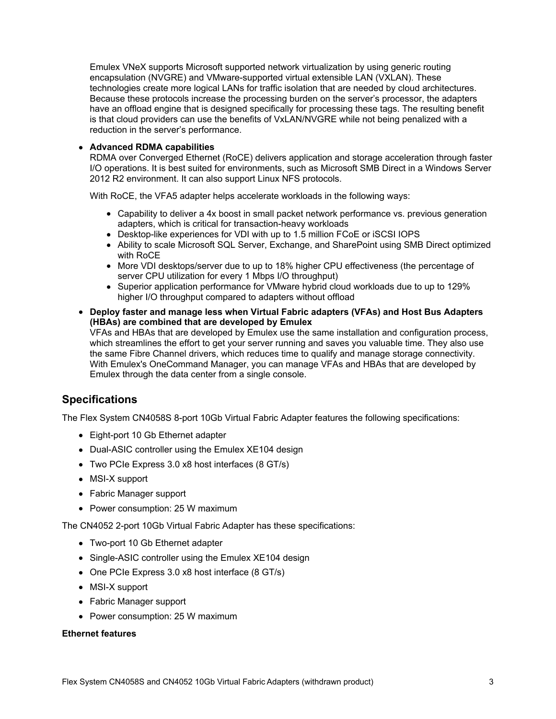Emulex VNeX supports Microsoft supported network virtualization by using generic routing encapsulation (NVGRE) and VMware-supported virtual extensible LAN (VXLAN). These technologies create more logical LANs for traffic isolation that are needed by cloud architectures. Because these protocols increase the processing burden on the server's processor, the adapters have an offload engine that is designed specifically for processing these tags. The resulting benefit is that cloud providers can use the benefits of VxLAN/NVGRE while not being penalized with a reduction in the server's performance.

#### **Advanced RDMA capabilities**

RDMA over Converged Ethernet (RoCE) delivers application and storage acceleration through faster I/O operations. It is best suited for environments, such as Microsoft SMB Direct in a Windows Server 2012 R2 environment. It can also support Linux NFS protocols.

With RoCE, the VFA5 adapter helps accelerate workloads in the following ways:

- Capability to deliver a 4x boost in small packet network performance vs. previous generation adapters, which is critical for transaction-heavy workloads
- Desktop-like experiences for VDI with up to 1.5 million FCoE or iSCSI IOPS
- Ability to scale Microsoft SQL Server, Exchange, and SharePoint using SMB Direct optimized with RoCE
- More VDI desktops/server due to up to 18% higher CPU effectiveness (the percentage of server CPU utilization for every 1 Mbps I/O throughput)
- Superior application performance for VMware hybrid cloud workloads due to up to 129% higher I/O throughput compared to adapters without offload
- **Deploy faster and manage less when Virtual Fabric adapters (VFAs) and Host Bus Adapters (HBAs) are combined that are developed by Emulex** VFAs and HBAs that are developed by Emulex use the same installation and configuration process, which streamlines the effort to get your server running and saves you valuable time. They also use the same Fibre Channel drivers, which reduces time to qualify and manage storage connectivity. With Emulex's OneCommand Manager, you can manage VFAs and HBAs that are developed by Emulex through the data center from a single console.

## **Specifications**

The Flex System CN4058S 8-port 10Gb Virtual Fabric Adapter features the following specifications:

- Eight-port 10 Gb Ethernet adapter
- Dual-ASIC controller using the Emulex XE104 design
- Two PCIe Express 3.0 x8 host interfaces (8 GT/s)
- MSI-X support
- Fabric Manager support
- Power consumption: 25 W maximum

The CN4052 2-port 10Gb Virtual Fabric Adapter has these specifications:

- Two-port 10 Gb Ethernet adapter
- Single-ASIC controller using the Emulex XE104 design
- One PCIe Express 3.0 x8 host interface (8 GT/s)
- MSI-X support
- Fabric Manager support
- Power consumption: 25 W maximum

#### **Ethernet features**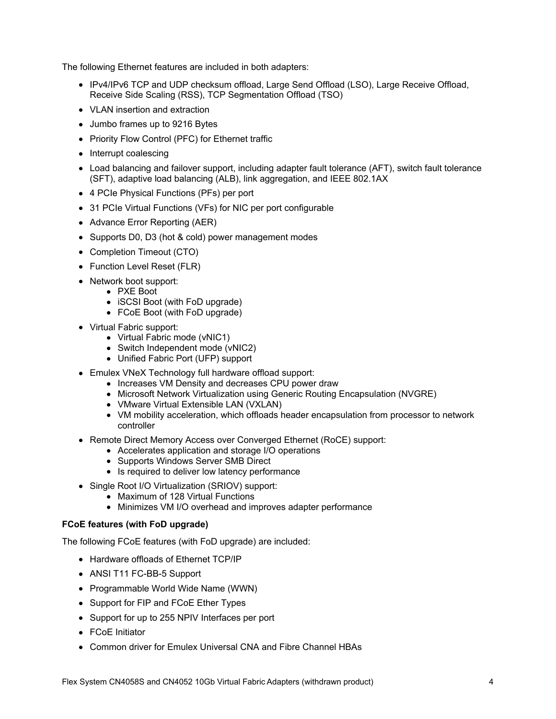The following Ethernet features are included in both adapters:

- IPv4/IPv6 TCP and UDP checksum offload, Large Send Offload (LSO), Large Receive Offload, Receive Side Scaling (RSS), TCP Segmentation Offload (TSO)
- VLAN insertion and extraction
- Jumbo frames up to 9216 Bytes
- Priority Flow Control (PFC) for Ethernet traffic
- Interrupt coalescing
- Load balancing and failover support, including adapter fault tolerance (AFT), switch fault tolerance (SFT), adaptive load balancing (ALB), link aggregation, and IEEE 802.1AX
- 4 PCIe Physical Functions (PFs) per port
- 31 PCIe Virtual Functions (VFs) for NIC per port configurable
- Advance Error Reporting (AER)
- Supports D0, D3 (hot & cold) power management modes
- Completion Timeout (CTO)
- Function Level Reset (FLR)
- Network boot support:
	- PXE Boot
	- **iSCSI Boot (with FoD upgrade)**
	- FCoE Boot (with FoD upgrade)
- Virtual Fabric support:
	- Virtual Fabric mode (vNIC1)
	- Switch Independent mode (vNIC2)
	- Unified Fabric Port (UFP) support
- Emulex VNeX Technology full hardware offload support:
	- Increases VM Density and decreases CPU power draw
	- Microsoft Network Virtualization using Generic Routing Encapsulation (NVGRE)
	- VMware Virtual Extensible LAN (VXLAN)
	- VM mobility acceleration, which offloads header encapsulation from processor to network controller
- Remote Direct Memory Access over Converged Ethernet (RoCE) support:
	- Accelerates application and storage I/O operations
	- Supports Windows Server SMB Direct
	- Is required to deliver low latency performance
- Single Root I/O Virtualization (SRIOV) support:
	- Maximum of 128 Virtual Functions
	- Minimizes VM I/O overhead and improves adapter performance

### **FCoE features (with FoD upgrade)**

The following FCoE features (with FoD upgrade) are included:

- Hardware offloads of Ethernet TCP/IP
- ANSI T11 FC-BB-5 Support
- Programmable World Wide Name (WWN)
- Support for FIP and FCoE Ether Types
- Support for up to 255 NPIV Interfaces per port
- FCoE Initiator
- Common driver for Emulex Universal CNA and Fibre Channel HBAs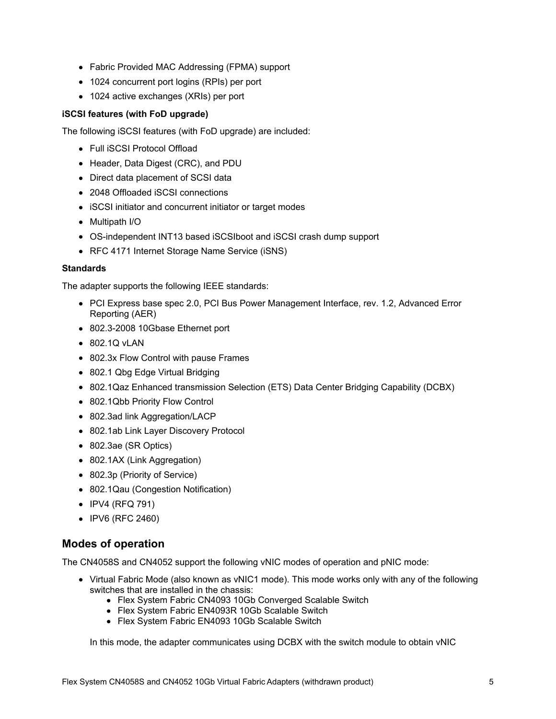- Fabric Provided MAC Addressing (FPMA) support
- 1024 concurrent port logins (RPIs) per port
- 1024 active exchanges (XRIs) per port

### **iSCSI features (with FoD upgrade)**

The following iSCSI features (with FoD upgrade) are included:

- Full iSCSI Protocol Offload
- Header, Data Digest (CRC), and PDU
- Direct data placement of SCSI data
- 2048 Offloaded iSCSI connections
- iSCSI initiator and concurrent initiator or target modes
- Multipath I/O
- OS-independent INT13 based iSCSIboot and iSCSI crash dump support
- RFC 4171 Internet Storage Name Service (iSNS)

#### **Standards**

The adapter supports the following IEEE standards:

- PCI Express base spec 2.0, PCI Bus Power Management Interface, rev. 1.2, Advanced Error Reporting (AER)
- 802.3-2008 10Gbase Ethernet port
- 802.1Q vLAN
- 802.3x Flow Control with pause Frames
- 802.1 Qbg Edge Virtual Bridging
- 802.1Qaz Enhanced transmission Selection (ETS) Data Center Bridging Capability (DCBX)
- 802.1Qbb Priority Flow Control
- 802.3ad link Aggregation/LACP
- 802.1ab Link Layer Discovery Protocol
- 802.3ae (SR Optics)
- 802.1AX (Link Aggregation)
- 802.3p (Priority of Service)
- 802.1Qau (Congestion Notification)
- IPV4 (RFQ 791)
- IPV6 (RFC 2460)

## **Modes of operation**

The CN4058S and CN4052 support the following vNIC modes of operation and pNIC mode:

- Virtual Fabric Mode (also known as vNIC1 mode). This mode works only with any of the following switches that are installed in the chassis:
	- Flex System Fabric CN4093 10Gb Converged Scalable Switch
	- Flex System Fabric EN4093R 10Gb Scalable Switch
	- Flex System Fabric EN4093 10Gb Scalable Switch

In this mode, the adapter communicates using DCBX with the switch module to obtain vNIC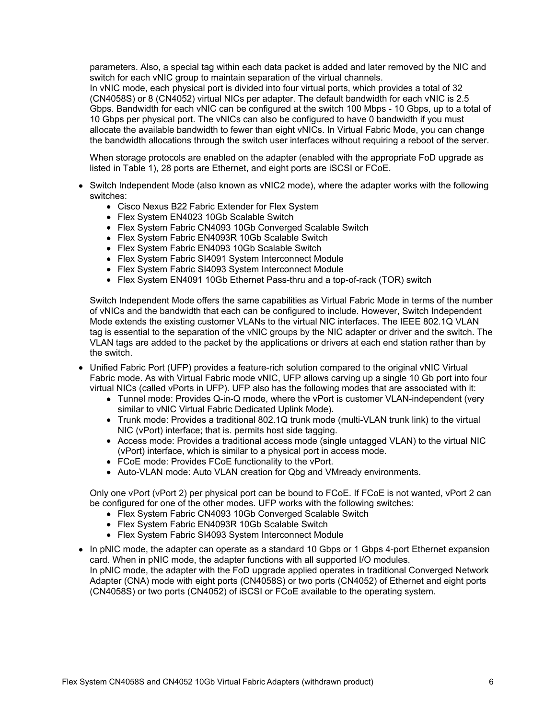parameters. Also, a special tag within each data packet is added and later removed by the NIC and switch for each vNIC group to maintain separation of the virtual channels.

In vNIC mode, each physical port is divided into four virtual ports, which provides a total of 32 (CN4058S) or 8 (CN4052) virtual NICs per adapter. The default bandwidth for each vNIC is 2.5 Gbps. Bandwidth for each vNIC can be configured at the switch 100 Mbps - 10 Gbps, up to a total of 10 Gbps per physical port. The vNICs can also be configured to have 0 bandwidth if you must allocate the available bandwidth to fewer than eight vNICs. In Virtual Fabric Mode, you can change the bandwidth allocations through the switch user interfaces without requiring a reboot of the server.

When storage protocols are enabled on the adapter (enabled with the appropriate FoD upgrade as listed in Table 1), 28 ports are Ethernet, and eight ports are iSCSI or FCoE.

- Switch Independent Mode (also known as vNIC2 mode), where the adapter works with the following switches:
	- Cisco Nexus B22 Fabric Extender for Flex System
	- Flex System EN4023 10Gb Scalable Switch
	- Flex System Fabric CN4093 10Gb Converged Scalable Switch
	- Flex System Fabric EN4093R 10Gb Scalable Switch
	- Flex System Fabric EN4093 10Gb Scalable Switch
	- Flex System Fabric SI4091 System Interconnect Module
	- Flex System Fabric SI4093 System Interconnect Module
	- Flex System EN4091 10Gb Ethernet Pass-thru and a top-of-rack (TOR) switch

Switch Independent Mode offers the same capabilities as Virtual Fabric Mode in terms of the number of vNICs and the bandwidth that each can be configured to include. However, Switch Independent Mode extends the existing customer VLANs to the virtual NIC interfaces. The IEEE 802.1Q VLAN tag is essential to the separation of the vNIC groups by the NIC adapter or driver and the switch. The VLAN tags are added to the packet by the applications or drivers at each end station rather than by the switch.

- Unified Fabric Port (UFP) provides a feature-rich solution compared to the original vNIC Virtual Fabric mode. As with Virtual Fabric mode vNIC, UFP allows carving up a single 10 Gb port into four virtual NICs (called vPorts in UFP). UFP also has the following modes that are associated with it:
	- Tunnel mode: Provides Q-in-Q mode, where the vPort is customer VLAN-independent (very similar to vNIC Virtual Fabric Dedicated Uplink Mode).
	- Trunk mode: Provides a traditional 802.1Q trunk mode (multi-VLAN trunk link) to the virtual NIC (vPort) interface; that is. permits host side tagging.
	- Access mode: Provides a traditional access mode (single untagged VLAN) to the virtual NIC (vPort) interface, which is similar to a physical port in access mode.
	- FCoE mode: Provides FCoE functionality to the vPort.
	- Auto-VLAN mode: Auto VLAN creation for Qbg and VMready environments.

Only one vPort (vPort 2) per physical port can be bound to FCoE. If FCoE is not wanted, vPort 2 can be configured for one of the other modes. UFP works with the following switches:

- Flex System Fabric CN4093 10Gb Converged Scalable Switch
- Flex System Fabric EN4093R 10Gb Scalable Switch
- Flex System Fabric SI4093 System Interconnect Module
- In pNIC mode, the adapter can operate as a standard 10 Gbps or 1 Gbps 4-port Ethernet expansion card. When in pNIC mode, the adapter functions with all supported I/O modules. In pNIC mode, the adapter with the FoD upgrade applied operates in traditional Converged Network Adapter (CNA) mode with eight ports (CN4058S) or two ports (CN4052) of Ethernet and eight ports (CN4058S) or two ports (CN4052) of iSCSI or FCoE available to the operating system.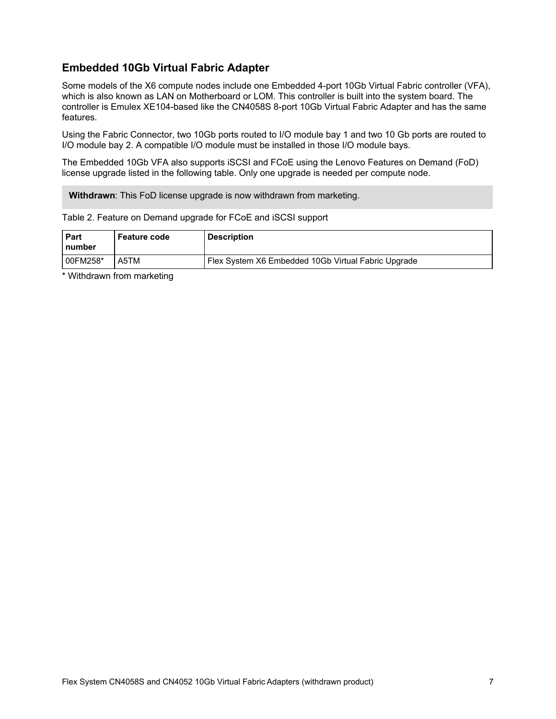## **Embedded 10Gb Virtual Fabric Adapter**

Some models of the X6 compute nodes include one Embedded 4-port 10Gb Virtual Fabric controller (VFA), which is also known as LAN on Motherboard or LOM. This controller is built into the system board. The controller is Emulex XE104-based like the CN4058S 8-port 10Gb Virtual Fabric Adapter and has the same features.

Using the Fabric Connector, two 10Gb ports routed to I/O module bay 1 and two 10 Gb ports are routed to I/O module bay 2. A compatible I/O module must be installed in those I/O module bays.

The Embedded 10Gb VFA also supports iSCSI and FCoE using the Lenovo Features on Demand (FoD) license upgrade listed in the following table. Only one upgrade is needed per compute node.

**Withdrawn**: This FoD license upgrade is now withdrawn from marketing.

Table 2. Feature on Demand upgrade for FCoE and iSCSI support

| <b>Part</b><br>l number | Feature code | <b>Description</b>                                  |
|-------------------------|--------------|-----------------------------------------------------|
| 100FM258*               | A5TM         | Flex System X6 Embedded 10Gb Virtual Fabric Upgrade |

\* Withdrawn from marketing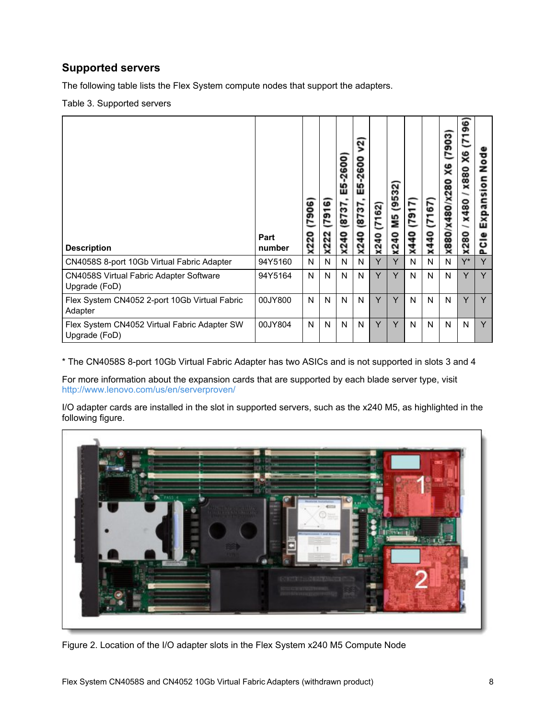## **Supported servers**

The following table lists the Flex System compute nodes that support the adapters.

Table 3. Supported servers

| <b>Description</b>                                              | Part<br>number | 7906<br><b>X220</b> | ဖ<br>791<br><b>x222</b> | $-2600$<br>LO<br>ш<br>2737<br>ទ<br>X2 | 2<br>-2600<br>5<br>ш<br>12137<br>x240 | (7162)<br>x240 | (9532)<br>ΣM<br>x240 | (7917)<br>x440 | (7167)<br>x440 | 903<br>X6<br>280<br>X880/x480/X | 96<br>E<br>X6<br><b>X880</b><br>x480<br>x280 | ष्ठ<br>ब<br>Expansion<br>ီး<br>൨ |
|-----------------------------------------------------------------|----------------|---------------------|-------------------------|---------------------------------------|---------------------------------------|----------------|----------------------|----------------|----------------|---------------------------------|----------------------------------------------|----------------------------------|
| CN4058S 8-port 10Gb Virtual Fabric Adapter                      | 94Y5160        | N                   | N                       | N                                     | N                                     | Υ              | Y                    | N              | N              | N                               | $Y^*$                                        | Y                                |
| <b>CN4058S Virtual Fabric Adapter Software</b><br>Upgrade (FoD) | 94Y5164        | N                   | N                       | N                                     | N                                     | Y              | Y                    | N              | N              | N                               | Y                                            | Y                                |
| Flex System CN4052 2-port 10Gb Virtual Fabric<br>Adapter        | 00JY800        | N                   | N                       | N                                     | N                                     | Y              | Y                    | N              | N              | N                               | Y                                            | Y                                |
| Flex System CN4052 Virtual Fabric Adapter SW<br>Upgrade (FoD)   | 00JY804        | N                   | N                       | N                                     | N                                     | Y              | Y                    | N              | N              | N                               | N                                            | Y                                |

\* The CN4058S 8-port 10Gb Virtual Fabric Adapter has two ASICs and is not supported in slots 3 and 4

For more information about the expansion cards that are supported by each blade server type, visit <http://www.lenovo.com/us/en/serverproven/>

I/O adapter cards are installed in the slot in supported servers, such as the x240 M5, as highlighted in the following figure.



Figure 2. Location of the I/O adapter slots in the Flex System x240 M5 Compute Node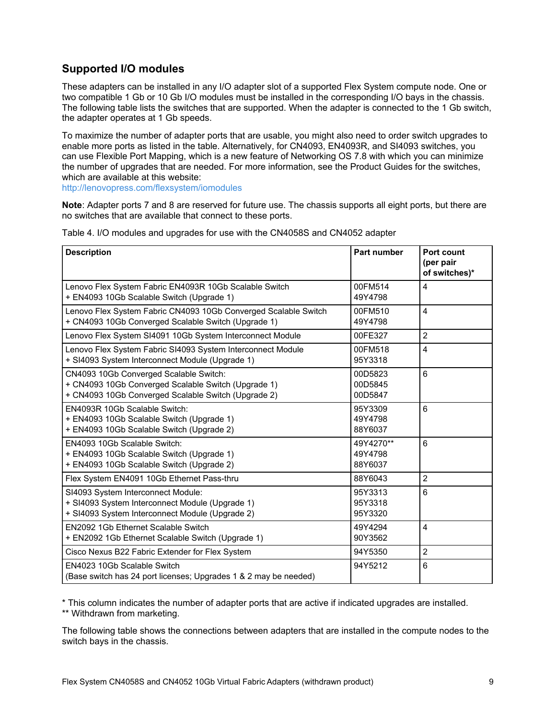## **Supported I/O modules**

These adapters can be installed in any I/O adapter slot of a supported Flex System compute node. One or two compatible 1 Gb or 10 Gb I/O modules must be installed in the corresponding I/O bays in the chassis. The following table lists the switches that are supported. When the adapter is connected to the 1 Gb switch, the adapter operates at 1 Gb speeds.

To maximize the number of adapter ports that are usable, you might also need to order switch upgrades to enable more ports as listed in the table. Alternatively, for CN4093, EN4093R, and SI4093 switches, you can use Flexible Port Mapping, which is a new feature of Networking OS 7.8 with which you can minimize the number of upgrades that are needed. For more information, see the Product Guides for the switches, which are available at this website:

<http://lenovopress.com/flexsystem/iomodules>

**Note**: Adapter ports 7 and 8 are reserved for future use. The chassis supports all eight ports, but there are no switches that are available that connect to these ports.

| <b>Description</b>                                                                                                                                   | <b>Part number</b>              | Port count<br>(per pair<br>of switches)* |
|------------------------------------------------------------------------------------------------------------------------------------------------------|---------------------------------|------------------------------------------|
| Lenovo Flex System Fabric EN4093R 10Gb Scalable Switch<br>+ EN4093 10Gb Scalable Switch (Upgrade 1)                                                  | 00FM514<br>49Y4798              | $\overline{4}$                           |
| Lenovo Flex System Fabric CN4093 10Gb Converged Scalable Switch<br>+ CN4093 10Gb Converged Scalable Switch (Upgrade 1)                               | 00FM510<br>49Y4798              | $\overline{4}$                           |
| Lenovo Flex System SI4091 10Gb System Interconnect Module                                                                                            | 00FE327                         | $\overline{2}$                           |
| Lenovo Flex System Fabric SI4093 System Interconnect Module<br>+ SI4093 System Interconnect Module (Upgrade 1)                                       | 00FM518<br>95Y3318              | 4                                        |
| CN4093 10Gb Converged Scalable Switch:<br>+ CN4093 10Gb Converged Scalable Switch (Upgrade 1)<br>+ CN4093 10Gb Converged Scalable Switch (Upgrade 2) | 00D5823<br>00D5845<br>00D5847   | 6                                        |
| EN4093R 10Gb Scalable Switch:<br>+ EN4093 10Gb Scalable Switch (Upgrade 1)<br>+ EN4093 10Gb Scalable Switch (Upgrade 2)                              | 95Y3309<br>49Y4798<br>88Y6037   | 6                                        |
| EN4093 10Gb Scalable Switch:<br>+ EN4093 10Gb Scalable Switch (Upgrade 1)<br>+ EN4093 10Gb Scalable Switch (Upgrade 2)                               | 49Y4270**<br>49Y4798<br>88Y6037 | 6                                        |
| Flex System EN4091 10Gb Ethernet Pass-thru                                                                                                           | 88Y6043                         | $\overline{2}$                           |
| SI4093 System Interconnect Module:<br>+ SI4093 System Interconnect Module (Upgrade 1)<br>+ SI4093 System Interconnect Module (Upgrade 2)             | 95Y3313<br>95Y3318<br>95Y3320   | 6                                        |
| EN2092 1Gb Ethernet Scalable Switch<br>+ EN2092 1Gb Ethernet Scalable Switch (Upgrade 1)                                                             | 49Y4294<br>90Y3562              | $\overline{\mathbf{4}}$                  |
| Cisco Nexus B22 Fabric Extender for Flex System                                                                                                      | 94Y5350                         | $\overline{2}$                           |
| EN4023 10Gb Scalable Switch<br>(Base switch has 24 port licenses; Upgrades 1 & 2 may be needed)                                                      | 94Y5212                         | 6                                        |

Table 4. I/O modules and upgrades for use with the CN4058S and CN4052 adapter

\* This column indicates the number of adapter ports that are active if indicated upgrades are installed. \*\* Withdrawn from marketing.

The following table shows the connections between adapters that are installed in the compute nodes to the switch bays in the chassis.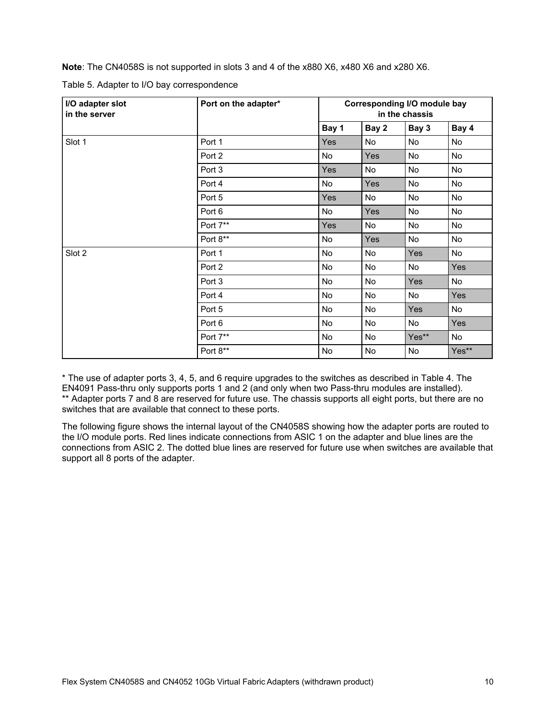**Note**: The CN4058S is not supported in slots 3 and 4 of the x880 X6, x480 X6 and x280 X6.

| I/O adapter slot<br>in the server | Port on the adapter* |            | <b>Corresponding I/O module bay</b><br>in the chassis |       |       |  |  |  |
|-----------------------------------|----------------------|------------|-------------------------------------------------------|-------|-------|--|--|--|
|                                   |                      | Bay 1      | Bay 2                                                 | Bay 3 | Bay 4 |  |  |  |
| Slot 1                            | Port 1               | Yes        | No                                                    | No    | No    |  |  |  |
|                                   | Port 2               | <b>No</b>  | <b>Yes</b>                                            | No    | No    |  |  |  |
|                                   | Port 3               | <b>Yes</b> | No                                                    | No    | No    |  |  |  |
|                                   | Port 4               | <b>No</b>  | <b>Yes</b>                                            | No    | No    |  |  |  |
|                                   | Port 5               | Yes        | No                                                    | No    | No    |  |  |  |
|                                   | Port 6               | No         | Yes                                                   | No    | No    |  |  |  |
|                                   | Port 7**             | <b>Yes</b> | No                                                    | No    | No    |  |  |  |
|                                   | Port 8**             | No         | Yes                                                   | No    | No    |  |  |  |
| Slot 2                            | Port 1               | <b>No</b>  | No                                                    | Yes   | No    |  |  |  |
|                                   | Port 2               | No         | No                                                    | No    | Yes   |  |  |  |
|                                   | Port 3               | No         | No                                                    | Yes   | No    |  |  |  |
|                                   | Port 4               | No         | No                                                    | No    | Yes   |  |  |  |
|                                   | Port 5               | No         | No                                                    | Yes   | No    |  |  |  |
|                                   | Port 6               | No         | No                                                    | No    | Yes   |  |  |  |
|                                   | Port 7**             | No         | No                                                    | Yes** | No    |  |  |  |
|                                   | Port 8**             | No         | No                                                    | No    | Yes** |  |  |  |

Table 5. Adapter to I/O bay correspondence

\* The use of adapter ports 3, 4, 5, and 6 require upgrades to the switches as described in Table 4. The EN4091 Pass-thru only supports ports 1 and 2 (and only when two Pass-thru modules are installed). \*\* Adapter ports 7 and 8 are reserved for future use. The chassis supports all eight ports, but there are no switches that are available that connect to these ports.

The following figure shows the internal layout of the CN4058S showing how the adapter ports are routed to the I/O module ports. Red lines indicate connections from ASIC 1 on the adapter and blue lines are the connections from ASIC 2. The dotted blue lines are reserved for future use when switches are available that support all 8 ports of the adapter.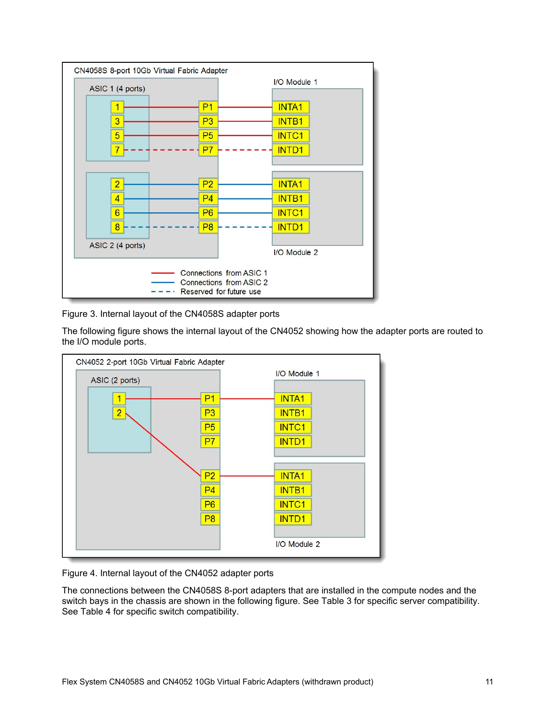

Figure 3. Internal layout of the CN4058S adapter ports

The following figure shows the internal layout of the CN4052 showing how the adapter ports are routed to the I/O module ports.



Figure 4. Internal layout of the CN4052 adapter ports

The connections between the CN4058S 8-port adapters that are installed in the compute nodes and the switch bays in the chassis are shown in the following figure. See Table 3 for specific server compatibility. See Table 4 for specific switch compatibility.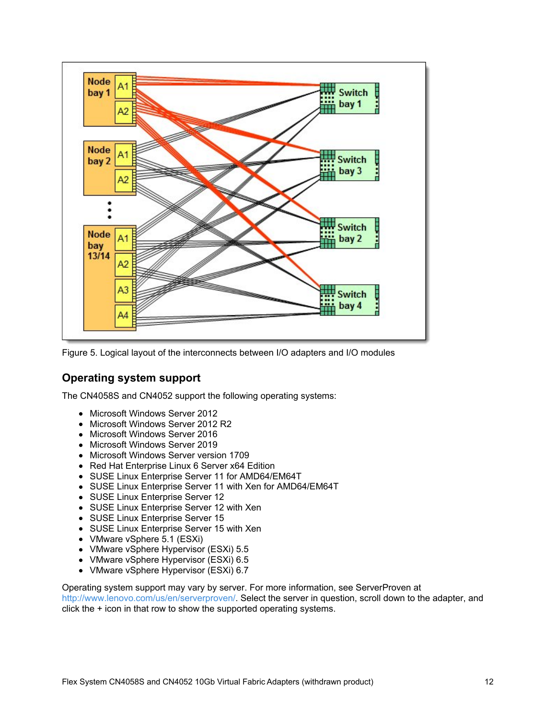

Figure 5. Logical layout of the interconnects between I/O adapters and I/O modules

## **Operating system support**

The CN4058S and CN4052 support the following operating systems:

- Microsoft Windows Server 2012
- Microsoft Windows Server 2012 R2
- Microsoft Windows Server 2016
- Microsoft Windows Server 2019
- Microsoft Windows Server version 1709
- Red Hat Enterprise Linux 6 Server x64 Edition
- SUSE Linux Enterprise Server 11 for AMD64/EM64T
- SUSE Linux Enterprise Server 11 with Xen for AMD64/EM64T
- SUSE Linux Enterprise Server 12
- SUSE Linux Enterprise Server 12 with Xen
- SUSE Linux Enterprise Server 15
- SUSE Linux Enterprise Server 15 with Xen
- VMware vSphere 5.1 (ESXi)
- VMware vSphere Hypervisor (ESXi) 5.5
- VMware vSphere Hypervisor (ESXi) 6.5
- VMware vSphere Hypervisor (ESXi) 6.7

Operating system support may vary by server. For more information, see ServerProven at <http://www.lenovo.com/us/en/serverproven/>. Select the server in question, scroll down to the adapter, and click the + icon in that row to show the supported operating systems.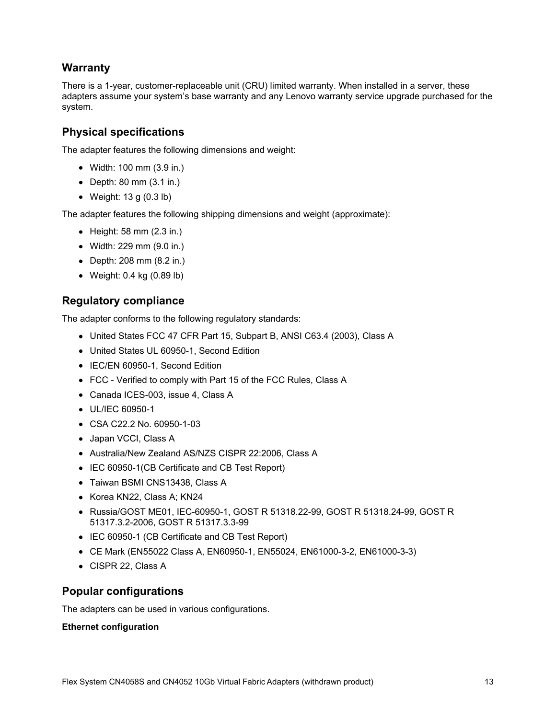## **Warranty**

There is a 1-year, customer-replaceable unit (CRU) limited warranty. When installed in a server, these adapters assume your system's base warranty and any Lenovo warranty service upgrade purchased for the system.

## **Physical specifications**

The adapter features the following dimensions and weight:

- Width: 100 mm (3.9 in.)
- Depth: 80 mm (3.1 in.)
- Weight: 13 g (0.3 lb)

The adapter features the following shipping dimensions and weight (approximate):

- $\bullet$  Height: 58 mm (2.3 in.)
- Width: 229 mm (9.0 in.)
- Depth: 208 mm (8.2 in.)
- Weight: 0.4 kg (0.89 lb)

### **Regulatory compliance**

The adapter conforms to the following regulatory standards:

- United States FCC 47 CFR Part 15, Subpart B, ANSI C63.4 (2003), Class A
- United States UL 60950-1, Second Edition
- IEC/EN 60950-1, Second Edition
- FCC Verified to comply with Part 15 of the FCC Rules, Class A
- Canada ICES-003, issue 4, Class A
- UL/IEC 60950-1
- CSA C22.2 No. 60950-1-03
- Japan VCCI, Class A
- Australia/New Zealand AS/NZS CISPR 22:2006, Class A
- IEC 60950-1(CB Certificate and CB Test Report)
- Taiwan BSMI CNS13438, Class A
- Korea KN22, Class A; KN24
- Russia/GOST ME01, IEC-60950-1, GOST R 51318.22-99, GOST R 51318.24-99, GOST R 51317.3.2-2006, GOST R 51317.3.3-99
- IEC 60950-1 (CB Certificate and CB Test Report)
- CE Mark (EN55022 Class A, EN60950-1, EN55024, EN61000-3-2, EN61000-3-3)
- CISPR 22, Class A

### **Popular configurations**

The adapters can be used in various configurations.

### **Ethernet configuration**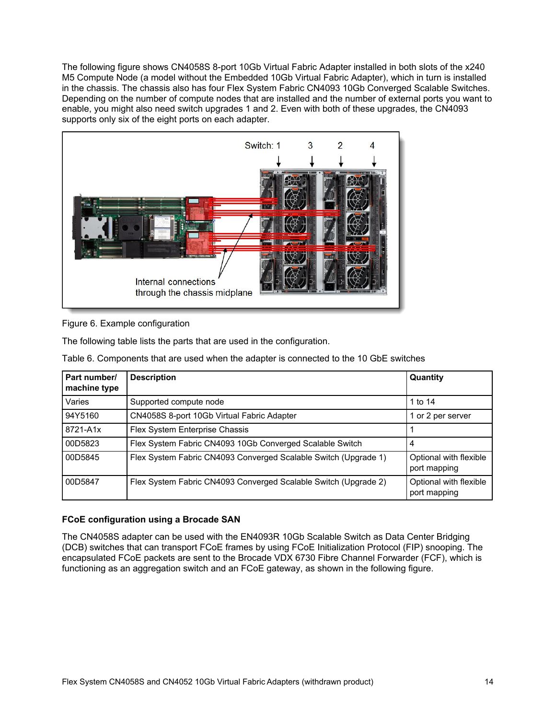The following figure shows CN4058S 8-port 10Gb Virtual Fabric Adapter installed in both slots of the x240 M5 Compute Node (a model without the Embedded 10Gb Virtual Fabric Adapter), which in turn is installed in the chassis. The chassis also has four Flex System Fabric CN4093 10Gb Converged Scalable Switches. Depending on the number of compute nodes that are installed and the number of external ports you want to enable, you might also need switch upgrades 1 and 2. Even with both of these upgrades, the CN4093 supports only six of the eight ports on each adapter.



Figure 6. Example configuration

The following table lists the parts that are used in the configuration.

Table 6. Components that are used when the adapter is connected to the 10 GbE switches

| Part number/<br>machine type | <b>Description</b>                                              | Quantity                               |
|------------------------------|-----------------------------------------------------------------|----------------------------------------|
| Varies                       | Supported compute node                                          | 1 to 14                                |
| 94Y5160                      | CN4058S 8-port 10Gb Virtual Fabric Adapter                      | 1 or 2 per server                      |
| 8721-A1x                     | Flex System Enterprise Chassis                                  |                                        |
| 00D5823                      | Flex System Fabric CN4093 10Gb Converged Scalable Switch        | 4                                      |
| 00D5845                      | Flex System Fabric CN4093 Converged Scalable Switch (Upgrade 1) | Optional with flexible<br>port mapping |
| 00D5847                      | Flex System Fabric CN4093 Converged Scalable Switch (Upgrade 2) | Optional with flexible<br>port mapping |

### **FCoE configuration using a Brocade SAN**

The CN4058S adapter can be used with the EN4093R 10Gb Scalable Switch as Data Center Bridging (DCB) switches that can transport FCoE frames by using FCoE Initialization Protocol (FIP) snooping. The encapsulated FCoE packets are sent to the Brocade VDX 6730 Fibre Channel Forwarder (FCF), which is functioning as an aggregation switch and an FCoE gateway, as shown in the following figure.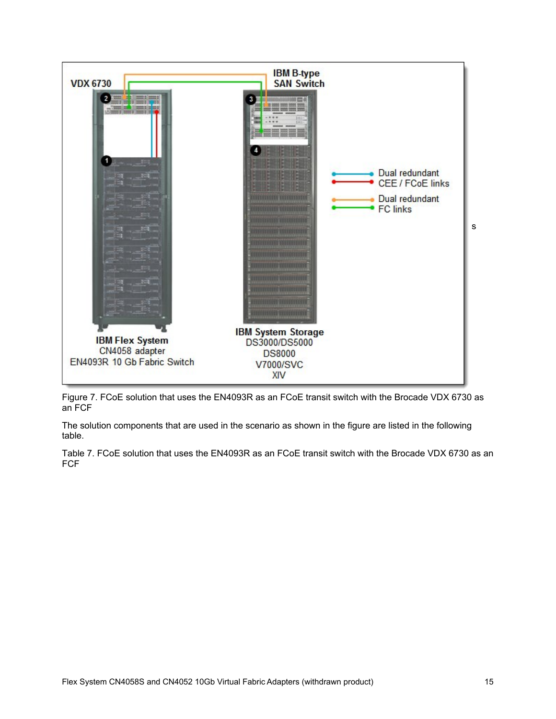

Figure 7. FCoE solution that uses the EN4093R as an FCoE transit switch with the Brocade VDX 6730 as an FCF

The solution components that are used in the scenario as shown in the figure are listed in the following table.

Table 7. FCoE solution that uses the EN4093R as an FCoE transit switch with the Brocade VDX 6730 as an FCF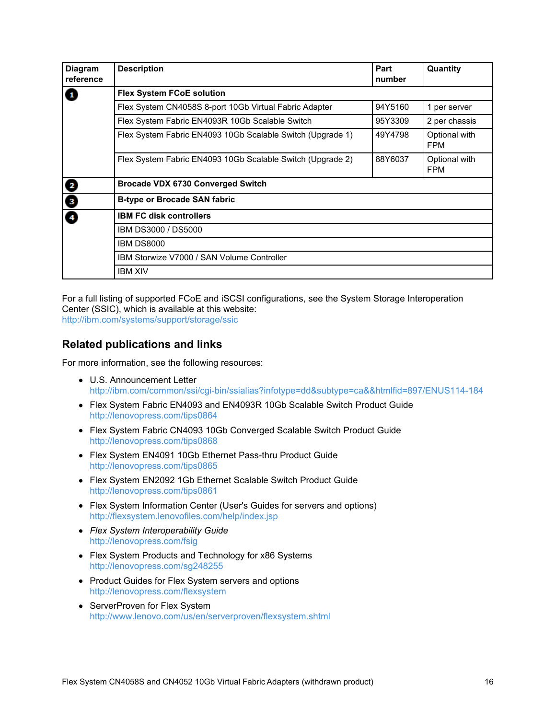| <b>Diagram</b><br>reference | <b>Description</b>                                         | Part<br>number | Quantity                    |  |  |  |  |  |
|-----------------------------|------------------------------------------------------------|----------------|-----------------------------|--|--|--|--|--|
| $\mathbf{G}$                | <b>Flex System FCoE solution</b>                           |                |                             |  |  |  |  |  |
|                             | Flex System CN4058S 8-port 10Gb Virtual Fabric Adapter     | 94Y5160        | 1 per server                |  |  |  |  |  |
|                             | Flex System Fabric EN4093R 10Gb Scalable Switch            | 95Y3309        | 2 per chassis               |  |  |  |  |  |
|                             | Flex System Fabric EN4093 10Gb Scalable Switch (Upgrade 1) | 49Y4798        | Optional with<br><b>FPM</b> |  |  |  |  |  |
|                             | Flex System Fabric EN4093 10Gb Scalable Switch (Upgrade 2) | 88Y6037        | Optional with<br><b>FPM</b> |  |  |  |  |  |
|                             | <b>Brocade VDX 6730 Converged Switch</b>                   |                |                             |  |  |  |  |  |
| $\bullet\bullet\bullet$     | <b>B-type or Brocade SAN fabric</b>                        |                |                             |  |  |  |  |  |
|                             | <b>IBM FC disk controllers</b>                             |                |                             |  |  |  |  |  |
|                             | IBM DS3000 / DS5000                                        |                |                             |  |  |  |  |  |
|                             | <b>IBM DS8000</b>                                          |                |                             |  |  |  |  |  |
|                             | IBM Storwize V7000 / SAN Volume Controller                 |                |                             |  |  |  |  |  |
|                             | <b>IBM XIV</b>                                             |                |                             |  |  |  |  |  |

For a full listing of supported FCoE and iSCSI configurations, see the System Storage Interoperation Center (SSIC), which is available at this website: <http://ibm.com/systems/support/storage/ssic>

### **Related publications and links**

For more information, see the following resources:

- U.S. Announcement Letter <http://ibm.com/common/ssi/cgi-bin/ssialias?infotype=dd&subtype=ca&&htmlfid=897/ENUS114-184>
- Flex System Fabric EN4093 and EN4093R 10Gb Scalable Switch Product Guide <http://lenovopress.com/tips0864>
- Flex System Fabric CN4093 10Gb Converged Scalable Switch Product Guide <http://lenovopress.com/tips0868>
- Flex System EN4091 10Gb Ethernet Pass-thru Product Guide <http://lenovopress.com/tips0865>
- Flex System EN2092 1Gb Ethernet Scalable Switch Product Guide <http://lenovopress.com/tips0861>
- Flex System Information Center (User's Guides for servers and options) <http://flexsystem.lenovofiles.com/help/index.jsp>
- *Flex System Interoperability Guide* <http://lenovopress.com/fsig>
- Flex System Products and Technology for x86 Systems <http://lenovopress.com/sg248255>
- Product Guides for Flex System servers and options <http://lenovopress.com/flexsystem>
- ServerProven for Flex System <http://www.lenovo.com/us/en/serverproven/flexsystem.shtml>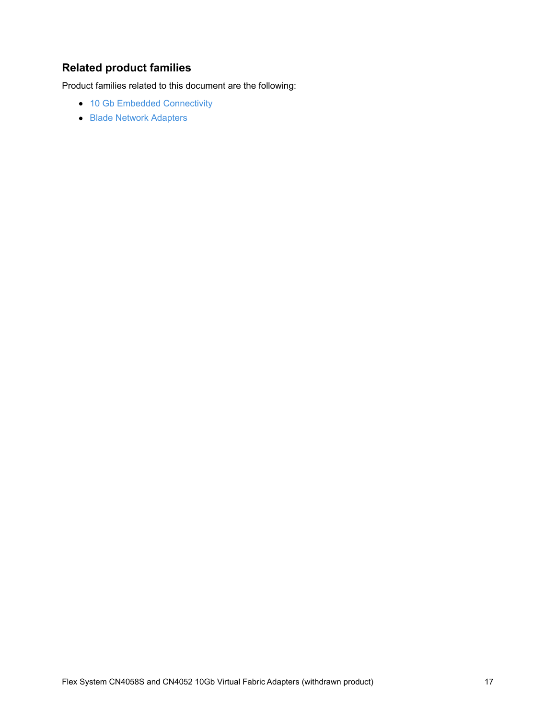# **Related product families**

Product families related to this document are the following:

- 10 Gb Embedded [Connectivity](https://lenovopress.com/networking/embedded/10gb)
- **Blade Network [Adapters](https://lenovopress.com/servers/blades/nic)**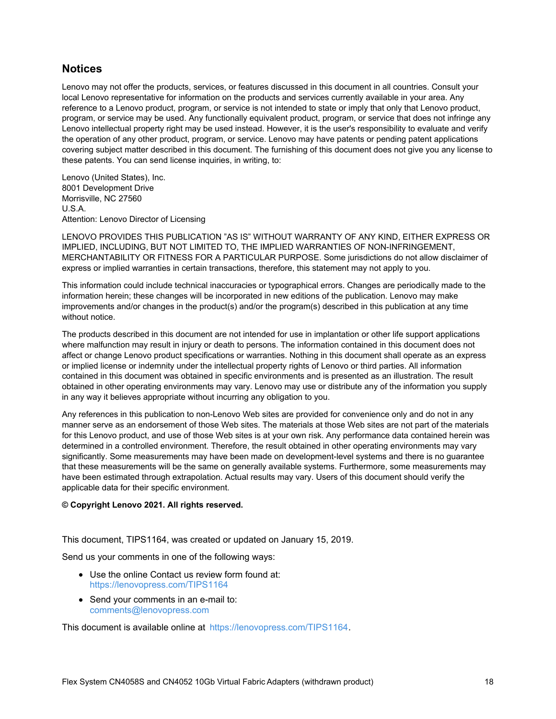### **Notices**

Lenovo may not offer the products, services, or features discussed in this document in all countries. Consult your local Lenovo representative for information on the products and services currently available in your area. Any reference to a Lenovo product, program, or service is not intended to state or imply that only that Lenovo product, program, or service may be used. Any functionally equivalent product, program, or service that does not infringe any Lenovo intellectual property right may be used instead. However, it is the user's responsibility to evaluate and verify the operation of any other product, program, or service. Lenovo may have patents or pending patent applications covering subject matter described in this document. The furnishing of this document does not give you any license to these patents. You can send license inquiries, in writing, to:

Lenovo (United States), Inc. 8001 Development Drive Morrisville, NC 27560 U.S.A. Attention: Lenovo Director of Licensing

LENOVO PROVIDES THIS PUBLICATION "AS IS" WITHOUT WARRANTY OF ANY KIND, EITHER EXPRESS OR IMPLIED, INCLUDING, BUT NOT LIMITED TO, THE IMPLIED WARRANTIES OF NON-INFRINGEMENT, MERCHANTABILITY OR FITNESS FOR A PARTICULAR PURPOSE. Some jurisdictions do not allow disclaimer of express or implied warranties in certain transactions, therefore, this statement may not apply to you.

This information could include technical inaccuracies or typographical errors. Changes are periodically made to the information herein; these changes will be incorporated in new editions of the publication. Lenovo may make improvements and/or changes in the product(s) and/or the program(s) described in this publication at any time without notice.

The products described in this document are not intended for use in implantation or other life support applications where malfunction may result in injury or death to persons. The information contained in this document does not affect or change Lenovo product specifications or warranties. Nothing in this document shall operate as an express or implied license or indemnity under the intellectual property rights of Lenovo or third parties. All information contained in this document was obtained in specific environments and is presented as an illustration. The result obtained in other operating environments may vary. Lenovo may use or distribute any of the information you supply in any way it believes appropriate without incurring any obligation to you.

Any references in this publication to non-Lenovo Web sites are provided for convenience only and do not in any manner serve as an endorsement of those Web sites. The materials at those Web sites are not part of the materials for this Lenovo product, and use of those Web sites is at your own risk. Any performance data contained herein was determined in a controlled environment. Therefore, the result obtained in other operating environments may vary significantly. Some measurements may have been made on development-level systems and there is no guarantee that these measurements will be the same on generally available systems. Furthermore, some measurements may have been estimated through extrapolation. Actual results may vary. Users of this document should verify the applicable data for their specific environment.

#### **© Copyright Lenovo 2021. All rights reserved.**

This document, TIPS1164, was created or updated on January 15, 2019.

Send us your comments in one of the following ways:

- Use the online Contact us review form found at: <https://lenovopress.com/TIPS1164>
- Send your comments in an e-mail to: [comments@lenovopress.com](mailto:comments@lenovopress.com?subject=Feedback for TIPS1164)

This document is available online at <https://lenovopress.com/TIPS1164>.